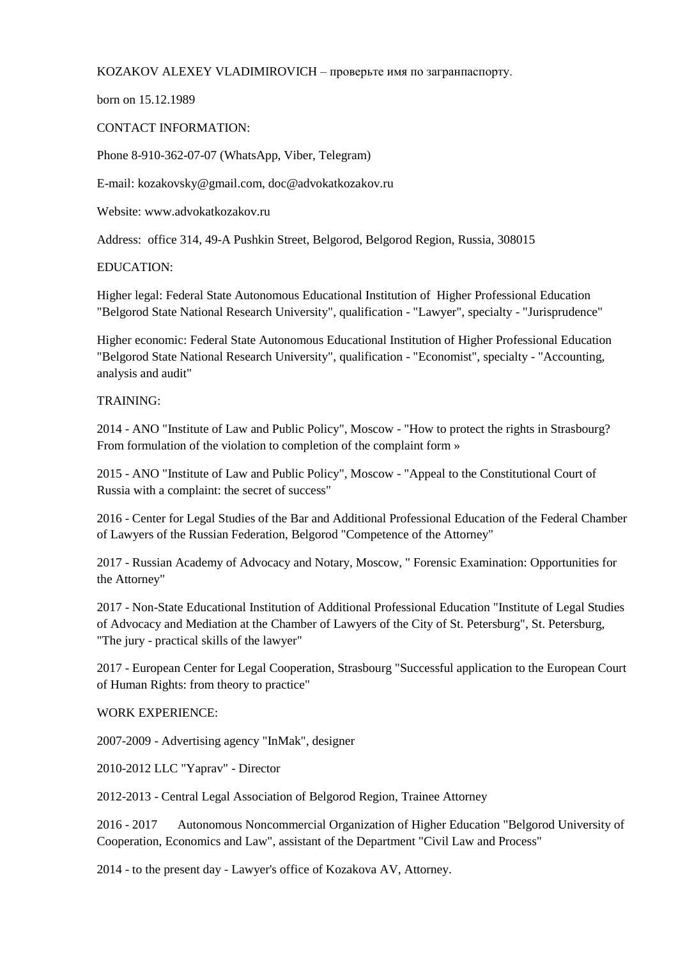KOZAKOV ALEXEY VLADIMIROVICH – проверьте имя по загранпаспорту.

born on 15.12.1989

## CONTACT INFORMATION:

Phone 8-910-362-07-07 (WhatsApp, Viber, Telegram)

E-mail: kozakovsky@gmail.com, doc@advokatkozakov.ru

Website: www.advokatkozakov.ru

Address: office 314, 49-A Pushkin Street, Belgorod, Belgorod Region, Russia, 308015

## EDUCATION:

Higher legal: Federal State Autonomous Educational Institution of Higher Professional Education "Belgorod State National Research University", qualification - "Lawyer", specialty - "Jurisprudence"

Higher economic: Federal State Autonomous Educational Institution of Higher Professional Education "Belgorod State National Research University", qualification - "Economist", specialty - "Accounting, analysis and audit"

## TRAINING:

2014 - ANO "Institute of Law and Public Policy", Moscow - "How to protect the rights in Strasbourg? From formulation of the violation to completion of the complaint form »

2015 - ANO "Institute of Law and Public Policy", Moscow - "Appeal to the Constitutional Court of Russia with a complaint: the secret of success"

2016 - Center for Legal Studies of the Bar and Additional Professional Education of the Federal Chamber of Lawyers of the Russian Federation, Belgorod "Competence of the Attorney"

2017 - Russian Academy of Advocacy and Notary, Moscow, " Forensic Examination: Opportunities for the Attorney"

2017 - Non-State Educational Institution of Additional Professional Education "Institute of Legal Studies of Advocacy and Mediation at the Chamber of Lawyers of the City of St. Petersburg", St. Petersburg, "The jury - practical skills of the lawyer"

2017 - European Center for Legal Cooperation, Strasbourg "Successful application to the European Court of Human Rights: from theory to practice"

## WORK EXPERIENCE:

2007-2009 - Advertising agency "InMak", designer

2010-2012 LLC "Yaprav" - Director

2012-2013 - Central Legal Association of Belgorod Region, Trainee Attorney

2016 - 2017 Autonomous Noncommercial Organization of Higher Education "Belgorod University of Cooperation, Economics and Law", assistant of the Department "Civil Law and Process"

2014 - to the present day - Lawyer's office of Kozakova AV, Attorney.